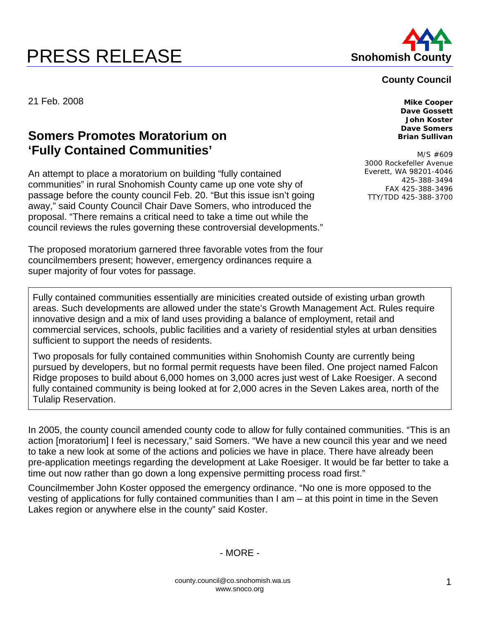## **PRESS RELEASE Shohomish County**



## **County Council**

21 Feb. 2008 **Mike Cooper** 

## **Somers Promotes Moratorium on 'Fully Contained Communities'**

An attempt to place a moratorium on building "fully contained communities" in rural Snohomish County came up one vote shy of passage before the county council Feb. 20. "But this issue isn't going away," said County Council Chair Dave Somers, who introduced the proposal. "There remains a critical need to take a time out while the council reviews the rules governing these controversial developments."

The proposed moratorium garnered three favorable votes from the four councilmembers present; however, emergency ordinances require a super majority of four votes for passage.

**Dave Gossett John Koster Dave Somers Brian Sullivan** 

M/S #609 3000 Rockefeller Avenue Everett, WA 98201-4046 425-388-3494 FAX 425-388-3496 TTY/TDD 425-388-3700

Fully contained communities essentially are minicities created outside of existing urban growth areas. Such developments are allowed under the state's Growth Management Act. Rules require innovative design and a mix of land uses providing a balance of employment, retail and commercial services, schools, public facilities and a variety of residential styles at urban densities sufficient to support the needs of residents.

Two proposals for fully contained communities within Snohomish County are currently being pursued by developers, but no formal permit requests have been filed. One project named Falcon Ridge proposes to build about 6,000 homes on 3,000 acres just west of Lake Roesiger. A second fully contained community is being looked at for 2,000 acres in the Seven Lakes area, north of the Tulalip Reservation.

In 2005, the county council amended county code to allow for fully contained communities. "This is an action [moratorium] I feel is necessary," said Somers. "We have a new council this year and we need to take a new look at some of the actions and policies we have in place. There have already been pre-application meetings regarding the development at Lake Roesiger. It would be far better to take a time out now rather than go down a long expensive permitting process road first."

Councilmember John Koster opposed the emergency ordinance. "No one is more opposed to the vesting of applications for fully contained communities than I am – at this point in time in the Seven Lakes region or anywhere else in the county" said Koster.